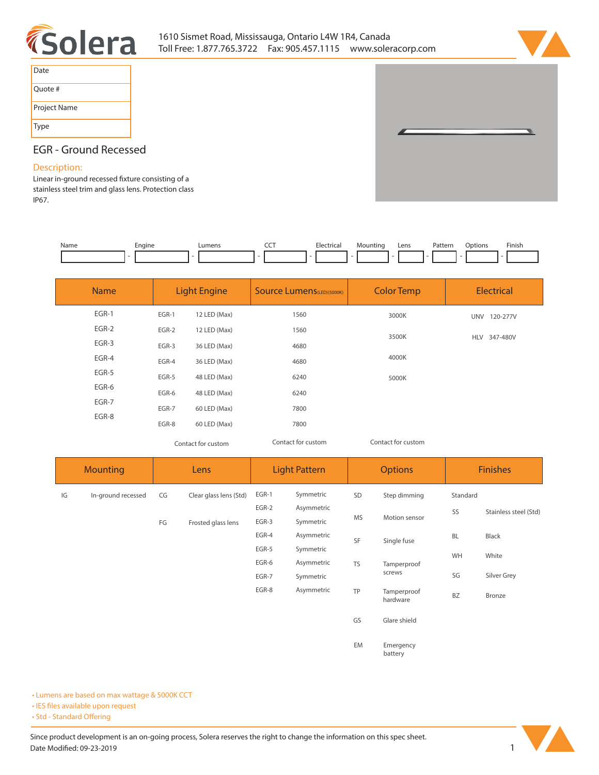



| Date         |
|--------------|
| Quote #      |
| Project Name |
| Type         |

# **EGR - Ground Recessed**

# **Description:**

Linear in-ground recessed fixture consisting of a **stainless steel trim and glass lens. Protection class IP67.** 

| Name | cnaine<br>- | umens. | --- | ۰.,<br>'' ረ<br>. | Lens | ∍atte<br>n ri<br>. | ∪ption∙<br>. | Finish |
|------|-------------|--------|-----|------------------|------|--------------------|--------------|--------|
|      |             |        |     |                  |      |                    |              |        |

| <b>Name</b> | <b>Light Engine</b> |              | <b>Source Lumens</b> (LED)(5000K) | <b>Color Temp</b>  | <b>Electrical</b>      |
|-------------|---------------------|--------------|-----------------------------------|--------------------|------------------------|
| EGR-1       | EGR-1               | 12 LED (Max) | 1560                              | 3000K              | UNV 120-277V           |
| $EGR-2$     | EGR-2               | 12 LED (Max) | 1560                              | 3500K              |                        |
| EGR-3       | EGR-3               | 36 LED (Max) | 4680                              |                    | 347-480V<br><b>HLV</b> |
| EGR-4       | EGR-4               | 36 LED (Max) | 4680                              | 4000K              |                        |
| EGR-5       | EGR-5               | 48 LED (Max) | 6240                              | 5000K              |                        |
| EGR-6       | EGR-6               | 48 LED (Max) | 6240                              |                    |                        |
| EGR-7       | EGR-7               | 60 LED (Max) | 7800                              |                    |                        |
| EGR-8       | EGR-8               | 60 LED (Max) | 7800                              |                    |                        |
|             | Contact for custom  |              | Contact for custom                | Contact for custom |                        |

*Contact for custom Contact for custom*

| <b>Mounting</b> |                    | Lens |                        | <b>Light Pattern</b> |            | <b>Options</b> |                         | <b>Finishes</b> |                       |
|-----------------|--------------------|------|------------------------|----------------------|------------|----------------|-------------------------|-----------------|-----------------------|
| IG              | In-ground recessed | CG   | Clear glass lens (Std) | EGR-1                | Symmetric  | SD             | Step dimming            | Standard        |                       |
|                 |                    |      |                        | EGR-2                | Asymmetric |                |                         | SS              | Stainless steel (Std) |
|                 |                    | FG   | Frosted glass lens     | EGR-3                | Symmetric  | <b>MS</b>      | Motion sensor           |                 |                       |
|                 |                    |      |                        | EGR-4                | Asymmetric | SF             | Single fuse             | <b>BL</b>       | Black                 |
|                 |                    |      |                        | EGR-5                | Symmetric  |                |                         | WH              | White                 |
|                 |                    |      |                        | EGR-6                | Asymmetric | <b>TS</b>      | Tamperproof             |                 |                       |
|                 |                    |      |                        | EGR-7                | Symmetric  |                | screws                  | SG              | Silver Grey           |
|                 |                    |      |                        | EGR-8                | Asymmetric | TP             | Tamperproof<br>hardware | <b>BZ</b>       | Bronze                |
|                 |                    |      |                        |                      |            | GS             | Glare shield            |                 |                       |
|                 |                    |      |                        |                      |            | EM             | Emergency<br>battery    |                 |                       |

**• Lumens are based on max wattage & 5000K CCT**

**• IES files available upon request** 

• Std - Standard Offering

Since product development is an on-going process, Solera reserves the right to change the information on this spec sheet. **Date Modified: 09-23-2019** 1